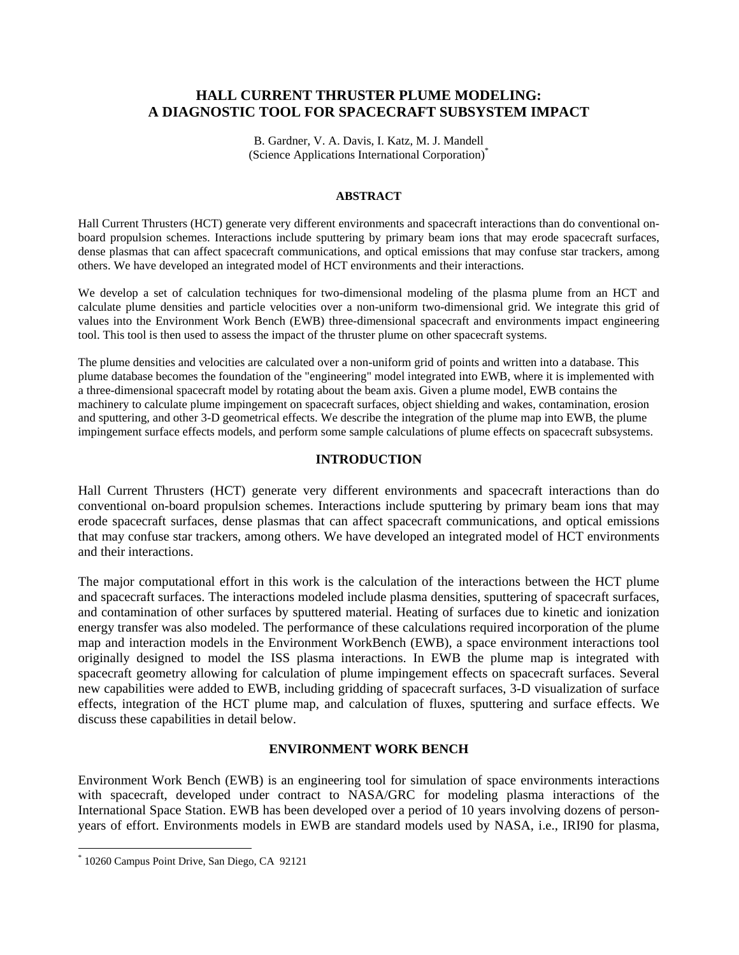# **HALL CURRENT THRUSTER PLUME MODELING: A DIAGNOSTIC TOOL FOR SPACECRAFT SUBSYSTEM IMPACT**

B. Gardner, V. A. Davis, I. Katz, M. J. Mandell (Science Applications International Corporation)\*

#### **ABSTRACT**

Hall Current Thrusters (HCT) generate very different environments and spacecraft interactions than do conventional on board propulsion schemes. Interactions include sputtering by primary beam ions that may erode spacecraft surfaces, dense plasmas that can affect spacecraft communications, and optical emissions that may confuse star trackers, among others. We have developed an integrated model of HCT environments and their interactions.

others. We have developed an integrated model of HCT environments and their interactions.<br>We develop a set of calculation techniques for two-dimensional modeling of the plasma plume from an HCT and calculate plume densities and particle velocities over a non-uniform two-dimensional grid. We integrate this grid of values into the Environment Work Bench (EWB) three-dimensional spacecraft and environments impact engineering tool. This tool is then used to assess the impact of the thruster plume on other spacecraft systems.

The plume densities and velocities are calculated over a non-uniform grid of points and written into a database. This plume database becomes the foundation of the "engineering" model integrated into EWB, where it is implemented with a three-dimensional spacecraft model by rotating about the beam axis. Given a plume model, EWB contains the machinery to calculate plume impingement on spacecraft surfaces, object shielding and wakes, contamination, erosion and sputtering, and other 3-D geometrical effects. We describe the integration of the plume map into EWB, the plume impingement surface effects models, and perform some sample calculations of plume effects on spacecraft subsystems.

#### **INTRODUCTION**

Hall Current Thrusters (HCT) generate very different environments and spacecraft interactions than do conventional on-board propulsion schemes. Interactions include sputtering by primary beam ions that may erode spacecraft surfaces, dense plasmas that can affect spacecraft communications, and optical emissions that may confuse star trackers, among others. We have developed an integrated model of HCT environments and their interactions.

The major computational effort in this work is the calculation of the interactions between the HCT plume and spacecraft surfaces. The interactions modeled include plasma densities, sputtering of spacecraft surfaces, and contamination of other surfaces by sputtered material. Heating of surfaces due to kinetic and ionization energy transfer was also modeled. The performance of these calculations required incorporation of the plume map and interaction models in the Environment WorkBench (EWB), a space environment interactions tool originally designed to model the ISS plasma interactions. In EWB the plume map is integrated with spacecraft geometry allowing for calculation of plume impingement effects on spacecraft surfaces. Several new capabilities were added to EWB, including gridding of spacecraft surfaces,3-D visualization of surface effects, integration of the HCT plume map, and calculation of fluxes, sputtering and surface effects. We discuss these capabilities in detail below.

#### **ENVIRONMENT WORK BENCH**

Environment Work Bench (EWB) is an engineering tool for simulation of space environments interactions with spacecraft, developed under contract to NASA/GRC for modeling plasma interactions of the International Space Station. EWB has been developed over a period of 10 years involving dozens of person years of effort. Environments models in EWB are standard models used by NASA, i.e., IRI90 for plasma,

<sup>\*</sup> 10260 Campus Point Drive, San Diego, CA 92121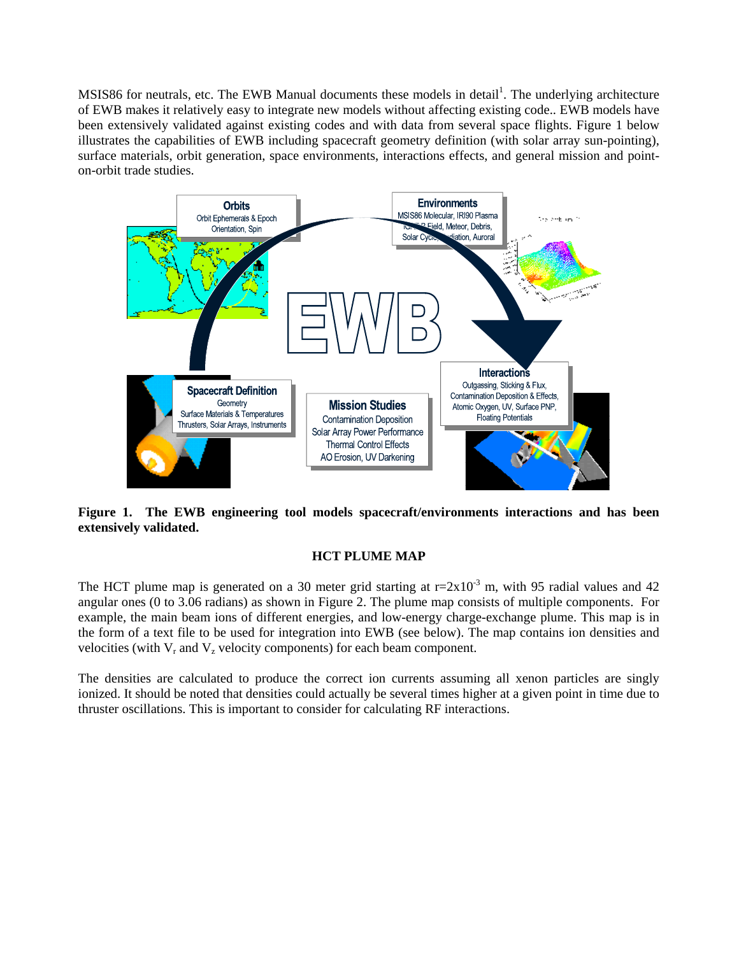MSIS86 for neutrals, etc. The EWB Manual documents these models in detail<sup>1</sup>. The underlying architecture . The underlying architecture of EWB makes it relatively easy to integrate new models without affecting existing code.. EWB models have been extensively validated against existing codes and with data from several space flights. Figure 1 below illustrates the capabilities of EWB including spacecraft geometry definition (with solar array sun-pointing), surface materials, orbit generation, space environments, interactions effects, and general mission and point on-orbit trade studies.



**Figure 1. The EWB engineering tool models spacecraft/environments interactions and has been extensively validated.**

## **HCT PLUME MAP**

The HCT plume map is generated on a 30 meter grid starting at  $r=2x10^{-3}$  m, with 95 radial values and 42 angular ones (0 to 3.06 radians) as shown in Figure 2. The plume map consists of multiple components. For example, the main beam ions of different energies, and low-energy charge-exchange plume. This map is in the form of a text file to be used for integration into EWB (see below). The map contains ion densities and velocities (with  $V_r$  and  $V_z$  velocity components) for each beam component.

The densities are calculated to produce the correct ion currents assuming all xenon particles are singly ionized. It should be noted that densities could actually be several times higher at a given point in time due to thruster oscillations. This is important to consider for calculating RF interactions.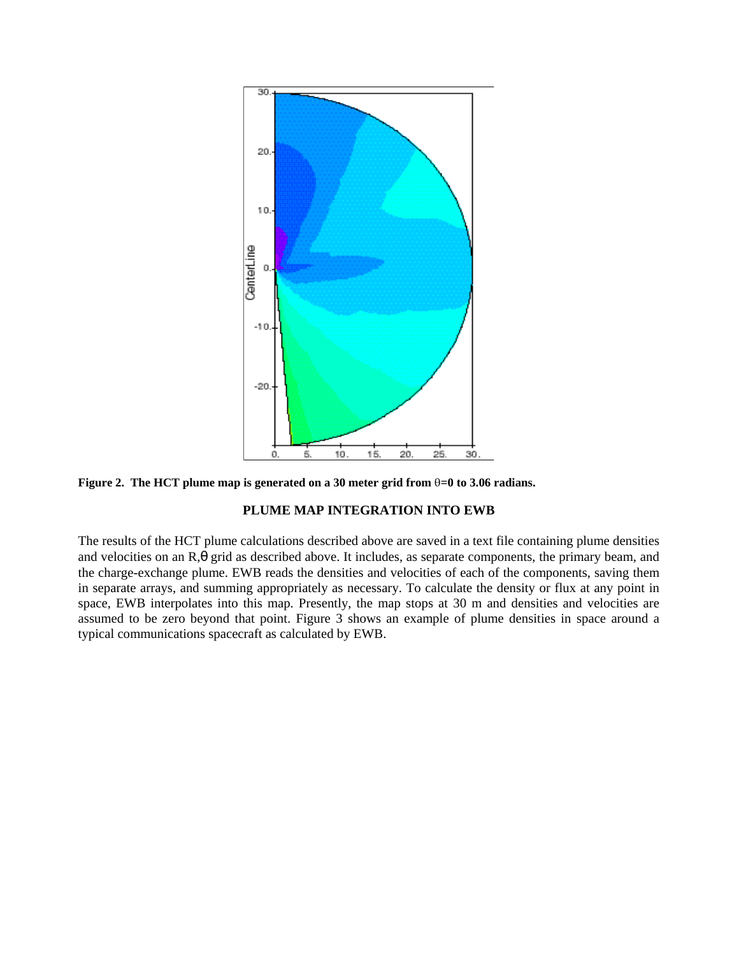

**Figure 2. The HCT plume map is generated on a 30 meter grid from =0 to 3.06 radians.**

## **PLUME MAP INTEGRATION INTO EWB**

The results of the HCT plume calculations described above are saved in a text file containing plume densities and velocities on an R,θ grid as described above. It includes, as separate components, the primary beam, and the charge-exchange plume. EWB reads the densities and velocities of each of the components, saving them in separate arrays, and summing appropriately as necessary. To calculate the density or flux at any point in space, EWB interpolates into this map. Presently, the map stops at 30 m and densities and velocities are assumed to be zero beyond that point. Figure 3 shows an example of plume densities in space around a typical communications spacecraft as calculated by EWB.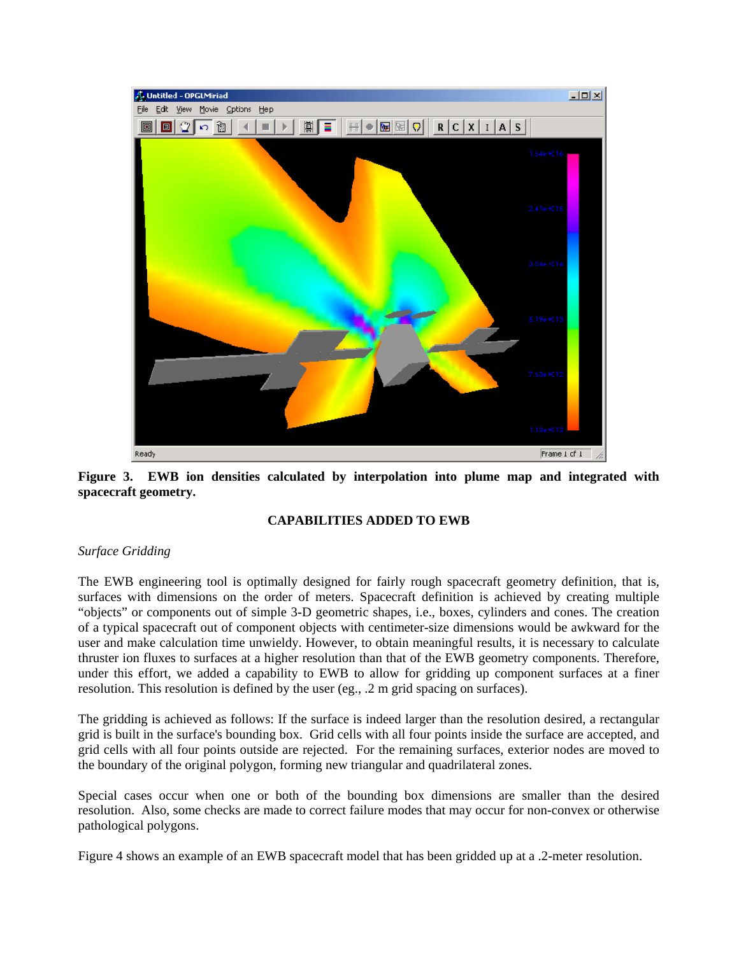

**Figure 3. EWB ion densities calculated by interpolation into plume map and integrated with spacecraft geometry.**

## **CAPABILITIES ADDED TO EWB**

## *Surface Gridding*

The EWB engineering tool is optimally designed for fairly rough spacecraft geometry definition, that is, surfaces with dimensions on the order of meters. Spacecraft definition is achieved by creating multiple "objects" or components out of simple 3-D geometric shapes, i.e., boxes, cylinders and cones. The creation of a typical spacecraft out of component objects with centimeter-size dimensions would be awkward for the user and make calculation time unwieldy. However, to obtain meaningful results, it is necessary to calculate thruster ion fluxes to surfaces at a higher resolution than that of the EWB geometry components. Therefore, under this effort, we added a capability to EWB to allow for gridding up component surfaces at a finer resolution. This resolution is defined by the user (eg., .2 m grid spacing on surfaces).

The gridding is achieved as follows: If the surface is indeed larger than the resolution desired, a rectangular grid is built in the surface's bounding box. Grid cells with all four points inside the surface are accepted, and grid cells with all four points outside are rejected. For the remaining surfaces, exterior nodes are moved to the boundary of the original polygon, forming new triangular and quadrilateral zones.

Special cases occur when one or both of the bounding box dimensions are smaller than the desired resolution. Also, some checks are made to correct failure modes that may occur for non-convex or otherwise pathological polygons.

Figure 4 shows an example of an EWB spacecraft model that has been gridded up at a .2-meter resolution.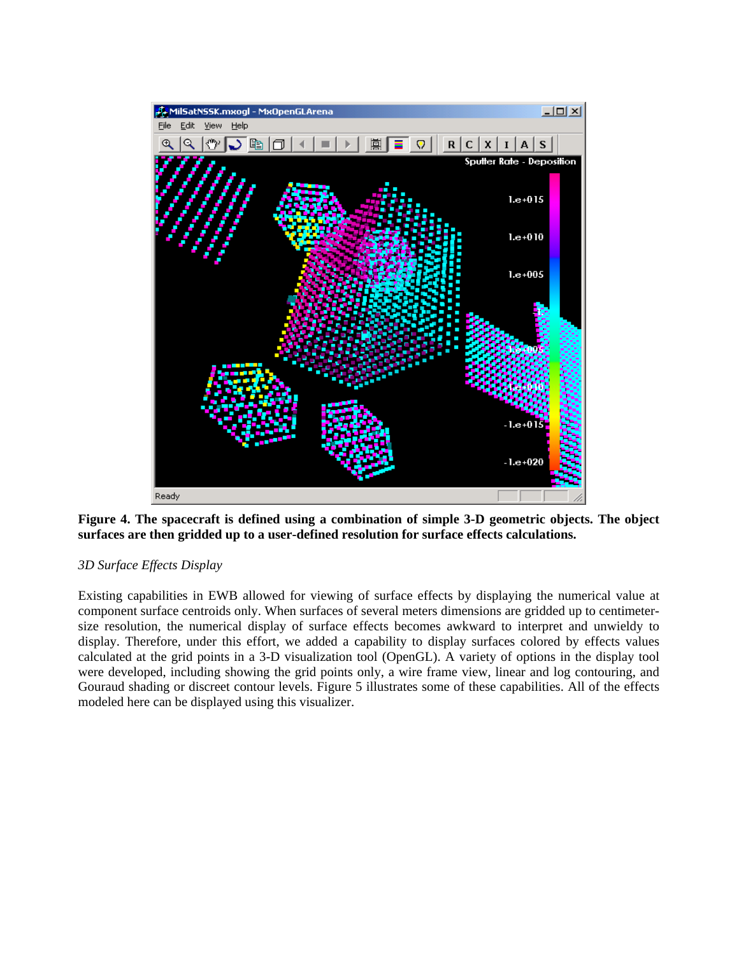

**Figure 4. The spacecraft is defined using a combination of simple 3-D geometric objects. The object surfaces are then gridded up to a user-defined resolution for surface effects calculations.**

## *3D Surface Effects Display*

Existing capabilities in EWB allowed for viewing of surface effects by displaying the numerical value at component surface centroids only. When surfaces of several meters dimensions are gridded up to centimeter size resolution, the numerical display of surface effects becomes awkward to interpret and unwieldy to display. Therefore, under this effort, we added a capability to display surfaces colored by effects values calculated at the grid points in a 3-D visualization tool (OpenGL). A variety of options in the display tool were developed, including showing the grid points only, a wire frame view, linear and log contouring, and Gouraud shading or discreet contour levels. Figure 5 illustrates some of these capabilities. All of the effects modeled here can be displayed using this visualizer.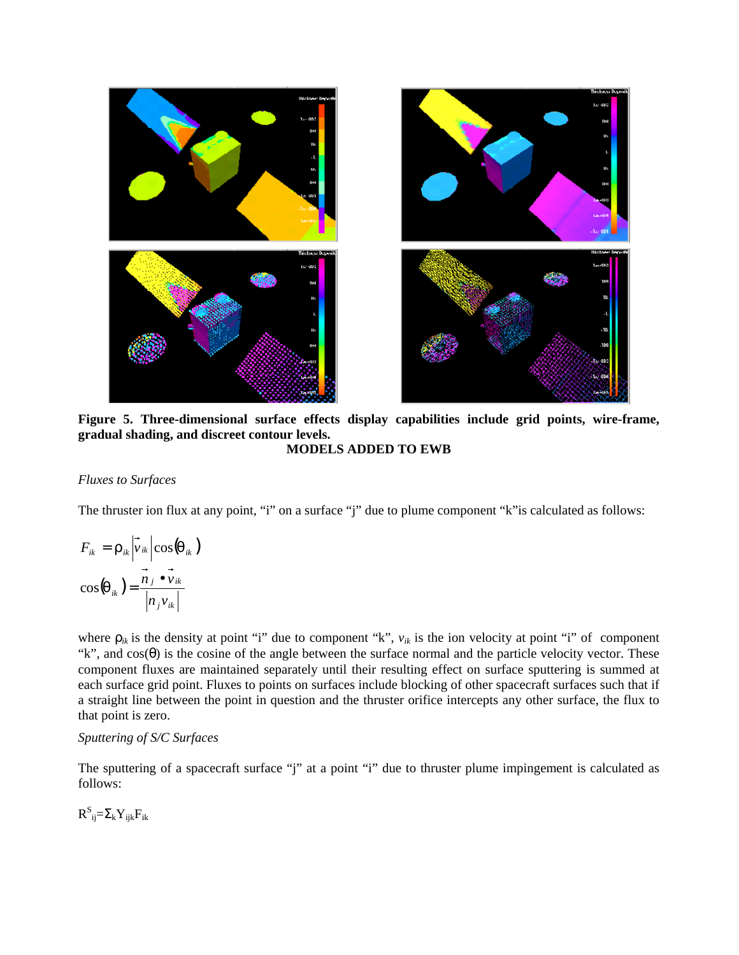



**Figure 5. Three-dimensional surface effects display capabilities include grid points, wire-frame, gradual shading, and discreet contour levels. MODELS ADDED TO EWB**

#### *Fluxes to Surfaces*

The thruster ion flux at any point, "i" on a surface "j" due to plume component "k"is calculated as follows:

$$
F_{ik} = \rho_{ik} \left| \vec{v}_{ik} \right| \cos(\theta_{ik})
$$
  

$$
\cos(\theta_{ik}) = \frac{\vec{n}_j \cdot \vec{v}_{ik}}{\left| n_j v_{ik} \right|}
$$

where  $\rho_{ik}$  is the density at point "i" due to component "k",  $v_{ik}$  is the ion velocity at point "i" of component "k", and  $cos(\theta)$  is the cosine of the angle between the surface normal and the particle velocity vector. These component fluxes are maintained separately until their resulting effect on surface sputtering is summed at each surface grid point. Fluxes to points on surfaces include blocking of other spacecraft surfaces such that if a straight line between the point in question and the thruster orifice intercepts any other surface, the flux to that point is zero.

## *Sputtering of S/C Surfaces*

The sputtering of a spacecraft surface "j" at a point "i" due to thruster plume impingement is calculated as follows:

 $R^{\rm S}{}_{\rm ij}\equiv\!\Sigma_{\rm k}Y_{\rm ijk}F_{\rm ik}$  $S \sim \nabla \nabla \nabla$  $R^S_{ii} = \sum_k Y_{iik}F_{ik}$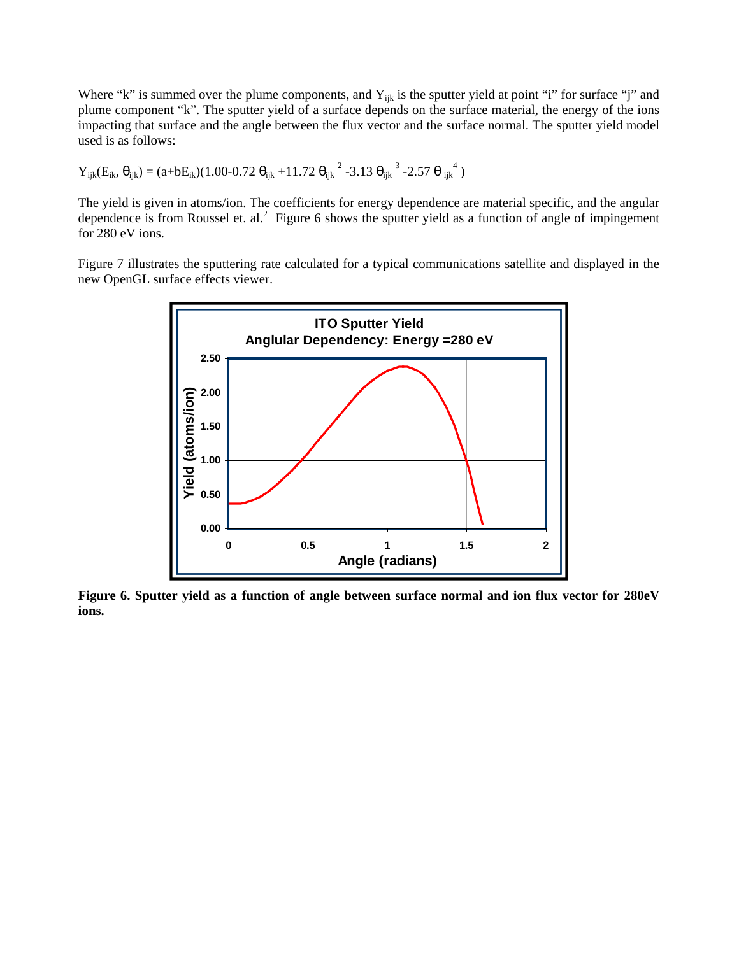Where "k" is summed over the plume components, and  $Y_{ijk}$  is the sputter yield at point "i" for surface "j" and plume component "k". The sputter yield of a surface depends on the surface material, the energy of the ions impacting that surface and the angle between the flux vector and the surface normal. The sputter yield model used is as follows:

$$
Y_{ijk}(E_{ik}, \theta_{ijk}) = (a + bE_{ik})(1.00 - 0.72 \theta_{ijk} + 11.72 \theta_{ijk}^2 - 3.13 \theta_{ijk}^3 - 2.57 \theta_{ijk}^4)
$$

The yield is given in atoms/ion. The coefficients for energy dependence are material specific, and the angular dependence is from Roussel et. al.<sup>2</sup> Figure 6 shows the sputter yield as a function of angle of impingement for 280 eV ions.

Figure 7 illustrates the sputtering rate calculated for a typical communications satellite and displayed in the new OpenGL surface effects viewer.



Figure 6. Sputter yield as a function of angle between surface normal and ion flux vector for 280eV **ions.**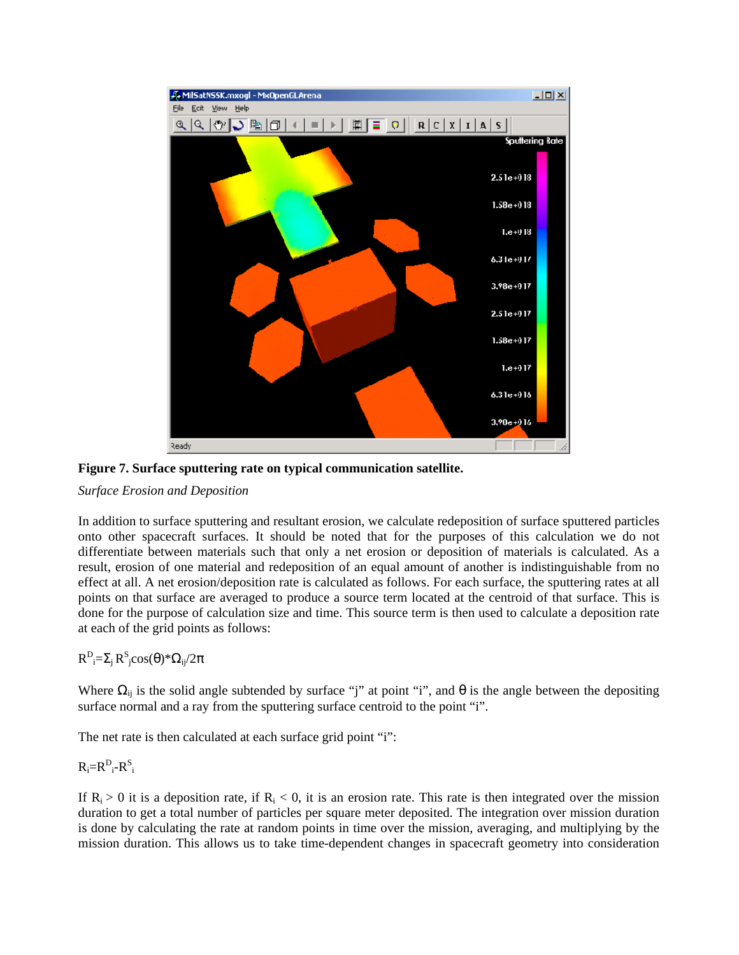



#### *Surface Erosion and Deposition*

In addition to surface sputtering and resultant erosion, we calculate redeposition of surface sputtered particles onto other spacecraft surfaces. It should be noted that for the purposes of this calculation we do not differentiate between materials such that only a net erosion or deposition of materials is calculated. As a result, erosion of one material and redeposition of an equal amount of another is indistinguishable from no effect at all. A net erosion/deposition rate is calculated as follows. For each surface, the sputtering rates at all points on that surface are averaged to produce a source term located at the centroid of that surface. This is done for the purpose of calculation size and time. This source term is then used to calculate a deposition rate at each of the grid points as follows:

#### $R^D$ <sub>i</sub> $=\Sigma_j R^S$ <sub>i</sub> $\cos(\theta)$ \* $\Omega_{ij}/2\pi$  $\sum_{i}R^{S}_{j}cos(\theta)*\Omega_{ij}/2\pi$  $S_{\alpha\alpha\beta}(\theta)\$   $\pi$  $\mathrm{jcos}(\theta)$ \* $\Omega_{\mathrm{ij}}/2\pi$  $/2\pi$

Where  $\Omega_{ij}$  is the solid angle subtended by surface "j" at point "i", and  $\theta$  is the angle between the depositing surface normal and a ray from the sputtering surface centroid to the point "i".

The net rate is then calculated at each surface grid point "i":

#### $R_i=R_{i}^D-R_{i}^S$  $iR_i^S$ S and the state of the state of the state of the state of the state of the state of the state of the state of the state of the state of the state of the state of the state of the state of the state of the state of the stat i

If  $R_i > 0$  it is a deposition rate, if  $R_i < 0$ , it is an erosion rate. This rate is then integrated over the mission duration to get a total number of particles per square meter deposited. The integration over mission duration is done by calculating the rate at random points in time over the mission, averaging, and multiplying by the mission duration. This allows us to take time-dependent changes in spacecraft geometry into consideration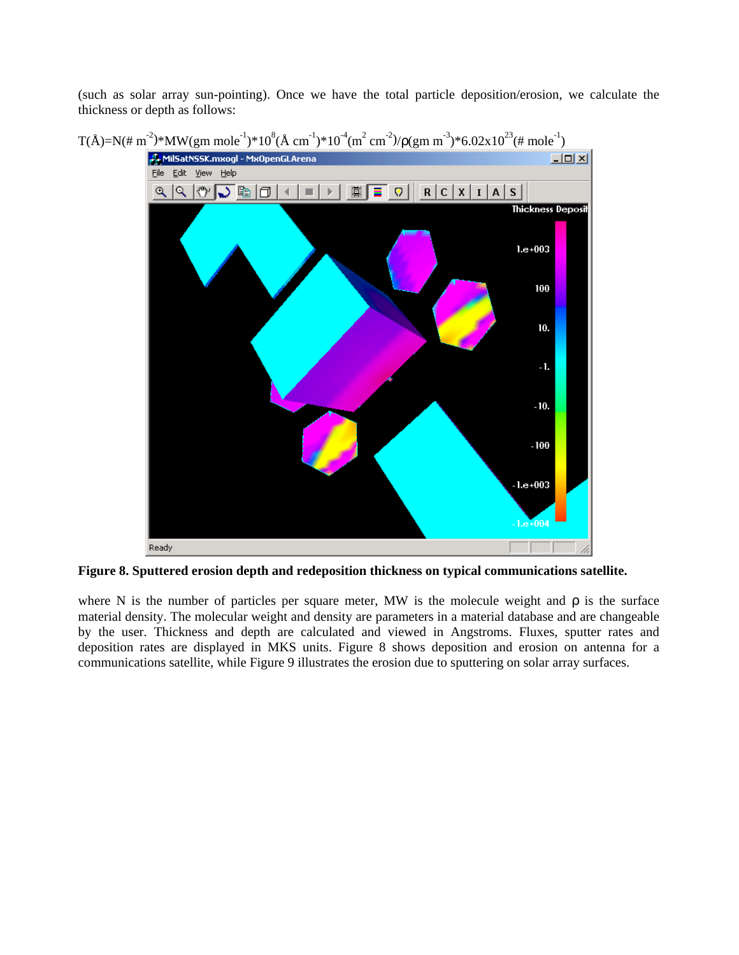(such as solar array sun-pointing). Once wehave the total particle deposition/erosion, we calculate the thickness or depth as follows:



**Figure 8. Sputtered erosion depth and redeposition thickness on typical communications satellite.**

where N is the number of particles per square meter, MW is the molecule weight and  $\rho$  is the surface material density. The molecular weight and density are parameters in a material database and are changeable by the user. Thickness and depth are calculated and viewed in Angstroms. Fluxes, sputter rates and deposition rates are displayed in MKS units. Figure 8 shows deposition and erosion on antenna for a communications satellite, while Figure 9 illustrates the erosion due to sputtering on solar array surfaces.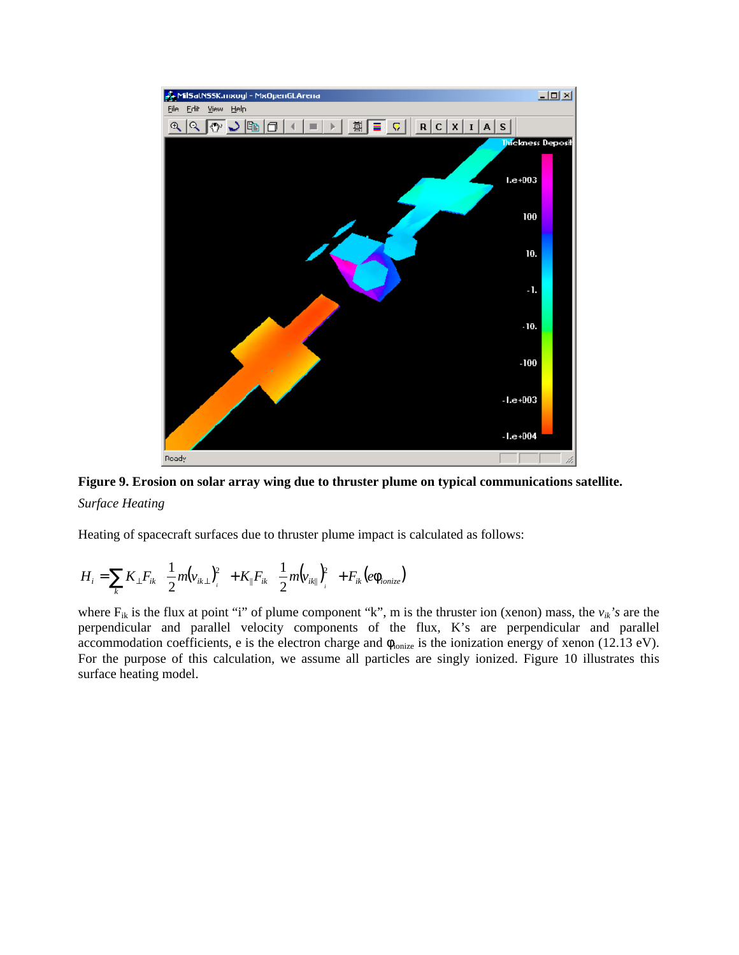



*Surface Heating*

Heating of spacecraft surfaces due to thruster plume impact is calculated as follows:

$$
H_i = \sum_k K_{\perp} F_{ik} \left( \frac{1}{2} m (v_{ik\perp})^2_i \right) + K_{\parallel} F_{ik} \left( \frac{1}{2} m (v_{ik\parallel})^2_i \right) + F_{ik} \left( e \phi_{ionize} \right)
$$

where  $F_{ik}$  is the flux at point "i" of plume component "k", m is the thruster ion (xenon) mass, the  $v_{ik}$ 's are the perpendicular and parallel velocity components of the flux, K's are perpendicular and parallel accommodation coefficients, e is the electron charge and  $\phi_{\text{ionize}}$  is the ionization energy of xenon (12.13 eV). For the purpose of this calculation, we assume all particles are singly ionized. Figure 10 illustrates this surface heating model.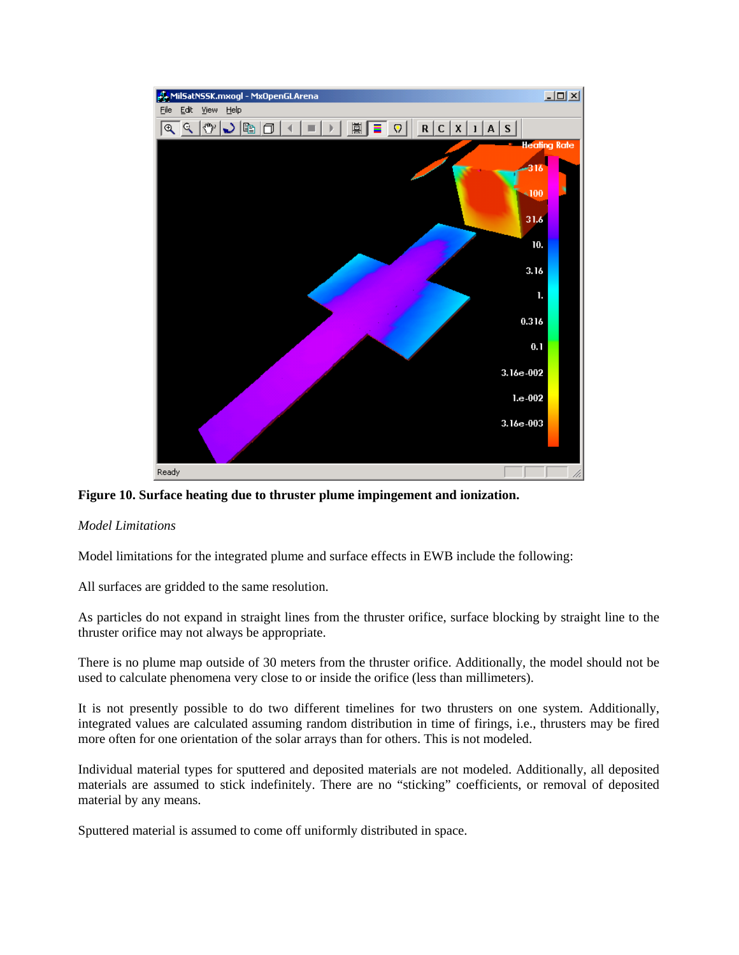

## **Figure 10. Surface heating due to thruster plume impingement and ionization.**

#### *Model Limitations*

Model limitations for the integrated plume and surface effects in EWB include the following:

All surfaces are gridded to the same resolution.

As particles do not expand in straight lines from the thruster orifice, surface blocking by straight line to the thruster orifice may not always be appropriate.

There is no plume map outside of 30 meters from the thruster orifice. Additionally, the model should not be used to calculate phenomena very close to or inside the orifice (less than millimeters).

It is not presently possible to do two different timelines for two thrusters on one system. Additionally, integrated values are calculated assuming random distribution in time of firings, i.e., thrusters may be fired more often for one orientation of the solar arrays than for others. This is not modeled.

Individual material types for sputtered and deposited materials are not modeled. Additionally, all deposited materials are assumed to stick indefinitely. There are no "sticking" coefficients, or removal of deposited material by any means.

Sputtered material is assumed to come off uniformly distributed in space.